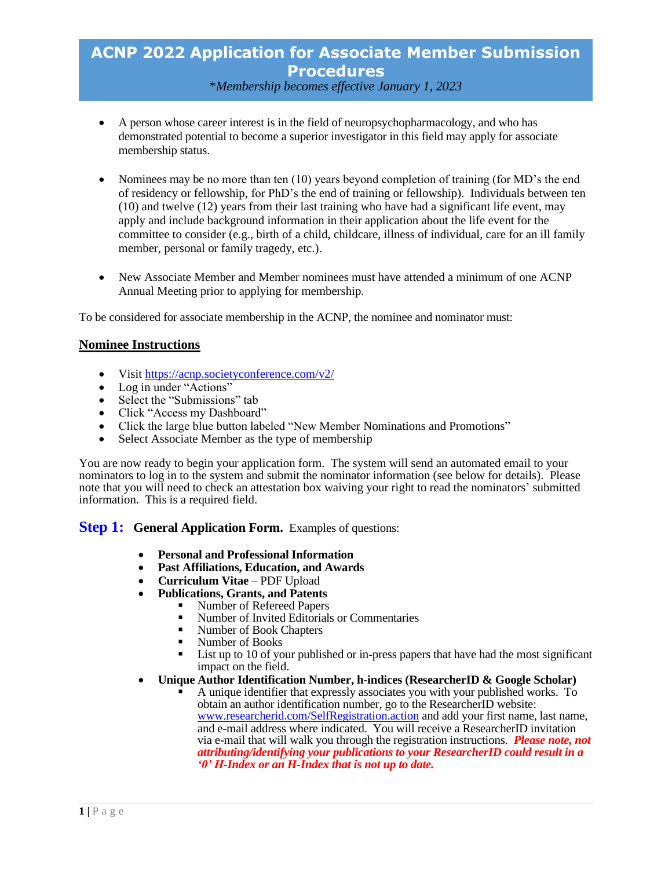# **ACNP 2022 Application for Associate Member Submission Procedures** \**Membership becomes effective January 1, 2023*

- A person whose career interest is in the field of neuropsychopharmacology, and who has demonstrated potential to become a superior investigator in this field may apply for associate membership status.
- Nominees may be no more than ten (10) years beyond completion of training (for MD's the end of residency or fellowship, for PhD's the end of training or fellowship). Individuals between ten (10) and twelve (12) years from their last training who have had a significant life event, may apply and include background information in their application about the life event for the committee to consider (e.g., birth of a child, childcare, illness of individual, care for an ill family member, personal or family tragedy, etc.).
- New Associate Member and Member nominees must have attended a minimum of one ACNP Annual Meeting prior to applying for membership.

To be considered for associate membership in the ACNP, the nominee and nominator must:

#### **Nominee Instructions**

- Visit<https://acnp.societyconference.com/v2/>
- Log in under "Actions"
- Select the "Submissions" tab
- Click "Access my Dashboard"
- Click the large blue button labeled "New Member Nominations and Promotions"
- Select Associate Member as the type of membership

You are now ready to begin your application form. The system will send an automated email to your nominators to log in to the system and submit the nominator information (see below for details). Please note that you will need to check an attestation box waiving your right to read the nominators' submitted information. This is a required field.

**Step 1:** General **Application Form.** Examples of questions:

- **Personal and Professional Information**
- **Past Affiliations, Education, and Awards**
- **Curriculum Vitae**  PDF Upload
- **Publications, Grants, and Patents**
	- Number of Refereed Papers<br>■ Number of Invited Editorials
		- Number of Invited Editorials or Commentaries
		- Number of Book Chapters
		- Number of Books
		- List up to 10 of your published or in-press papers that have had the most significant impact on the field.
- **Unique Author Identification Number, h-indices (ResearcherID & Google Scholar)**
	- A unique identifier that expressly associates you with your published works. To obtain an author identification number, go to the ResearcherID website: [www.researcherid.com/SelfRegistration.action](http://www.researcherid.com/SelfRegistration.action) and add your first name, last name, and e-mail address where indicated. You will receive a ResearcherID invitation via e-mail that will walk you through the registration instructions. *Please note, not attributing/identifying your publications to your ResearcherID could result in a '0' H-Index or an H-Index that is not up to date.*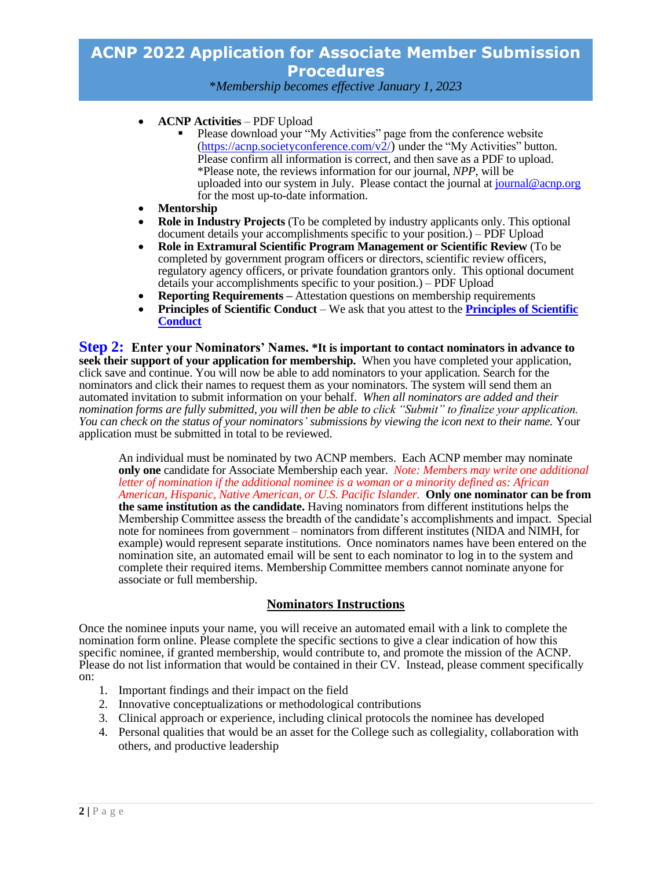# **ACNP 2022 Application for Associate Member Submission Procedures**

\**Membership becomes effective January 1, 2023*

- **ACNP Activities** PDF Upload
	- Please download your "My Activities" page from the conference website [\(https://acnp.societyconference.com/v2/](https://acnp.societyconference.com/v2/)) under the "My Activities" button. Please confirm all information is correct, and then save as a PDF to upload. \*Please note, the reviews information for our journal, *NPP*, will be uploaded into our system in July. Please contact the journal at [journal@acnp.org](mailto:journal@acnp.org) for the most up-to-date information.
- **Mentorship**
- **Role in Industry Projects** (To be completed by industry applicants only. This optional document details your accomplishments specific to your position.) – PDF Upload
- **Role in Extramural Scientific Program Management or Scientific Review** (To be completed by government program officers or directors, scientific review officers, regulatory agency officers, or private foundation grantors only. This optional document details your accomplishments specific to your position.) – PDF Upload
- **Reporting Requirements –** Attestation questions on membership requirements
- **Principles of Scientific Conduct** We ask that you attest to the **[Principles of Scientific](https://pmg.joynadmin.org/documents/1001/5e66476468ed3f4575db0935.pdf)  [Conduct](https://pmg.joynadmin.org/documents/1001/5e66476468ed3f4575db0935.pdf)**

**Step 2: Enter your Nominators' Names. \*It is important to contact nominators in advance to seek their support of your application for membership.** When you have completed your application, click save and continue. You will now be able to add nominators to your application. Search for the nominators and click their names to request them as your nominators. The system will send them an automated invitation to submit information on your behalf. *When all nominators are added and their nomination forms are fully submitted, you will then be able to click "Submit" to finalize your application. You can check on the status of your nominators' submissions by viewing the icon next to their name.* Your application must be submitted in total to be reviewed.

An individual must be nominated by two ACNP members. Each ACNP member may nominate **only one** candidate for Associate Membership each year. *Note: Members may write one additional letter of nomination if the additional nominee is a woman or a minority defined as: African American, Hispanic, Native American, or U.S. Pacific Islander.* **Only one nominator can be from the same institution as the candidate.** Having nominators from different institutions helps the Membership Committee assess the breadth of the candidate's accomplishments and impact. Special note for nominees from government – nominators from different institutes (NIDA and NIMH, for example) would represent separate institutions.Once nominators names have been entered on the nomination site, an automated email will be sent to each nominator to log in to the system and complete their required items. Membership Committee members cannot nominate anyone for associate or full membership.

### **Nominators Instructions**

Once the nominee inputs your name, you will receive an automated email with a link to complete the nomination form online. Please complete the specific sections to give a clear indication of how this specific nominee, if granted membership, would contribute to, and promote the mission of the ACNP. Please do not list information that would be contained in their CV. Instead, please comment specifically on:

- 1. Important findings and their impact on the field
- 2. Innovative conceptualizations or methodological contributions
- 3. Clinical approach or experience, including clinical protocols the nominee has developed
- 4. Personal qualities that would be an asset for the College such as collegiality, collaboration with others, and productive leadership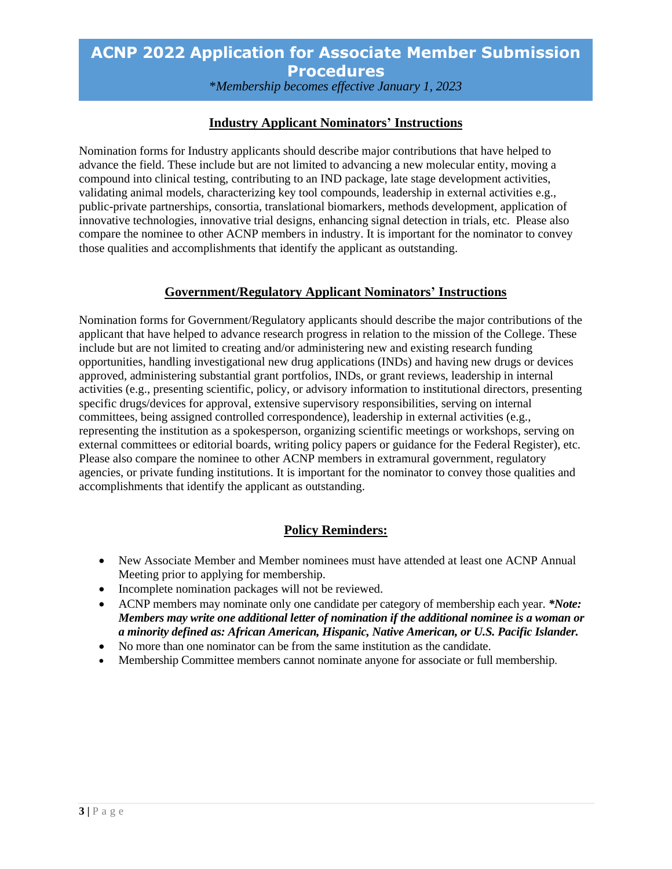# **ACNP 2022 Application for Associate Member Submission Procedures** \**Membership becomes effective January 1, 2023*

### **Industry Applicant Nominators' Instructions**

Nomination forms for Industry applicants should describe major contributions that have helped to advance the field. These include but are not limited to advancing a new molecular entity, moving a compound into clinical testing, contributing to an IND package, late stage development activities, validating animal models, characterizing key tool compounds, leadership in external activities e.g., public-private partnerships, consortia, translational biomarkers, methods development, application of innovative technologies, innovative trial designs, enhancing signal detection in trials, etc. Please also compare the nominee to other ACNP members in industry. It is important for the nominator to convey those qualities and accomplishments that identify the applicant as outstanding.

#### **Government/Regulatory Applicant Nominators' Instructions**

Nomination forms for Government/Regulatory applicants should describe the major contributions of the applicant that have helped to advance research progress in relation to the mission of the College. These include but are not limited to creating and/or administering new and existing research funding opportunities, handling investigational new drug applications (INDs) and having new drugs or devices approved, administering substantial grant portfolios, INDs, or grant reviews, leadership in internal activities (e.g., presenting scientific, policy, or advisory information to institutional directors, presenting specific drugs/devices for approval, extensive supervisory responsibilities, serving on internal committees, being assigned controlled correspondence), leadership in external activities (e.g., representing the institution as a spokesperson, organizing scientific meetings or workshops, serving on external committees or editorial boards, writing policy papers or guidance for the Federal Register), etc. Please also compare the nominee to other ACNP members in extramural government, regulatory agencies, or private funding institutions. It is important for the nominator to convey those qualities and accomplishments that identify the applicant as outstanding.

### **Policy Reminders:**

- New Associate Member and Member nominees must have attended at least one ACNP Annual Meeting prior to applying for membership.
- Incomplete nomination packages will not be reviewed.
- ACNP members may nominate only one candidate per category of membership each year. *\*Note: Members may write one additional letter of nomination if the additional nominee is a woman or a minority defined as: African American, Hispanic, Native American, or U.S. Pacific Islander.*
- No more than one nominator can be from the same institution as the candidate.
- Membership Committee members cannot nominate anyone for associate or full membership.